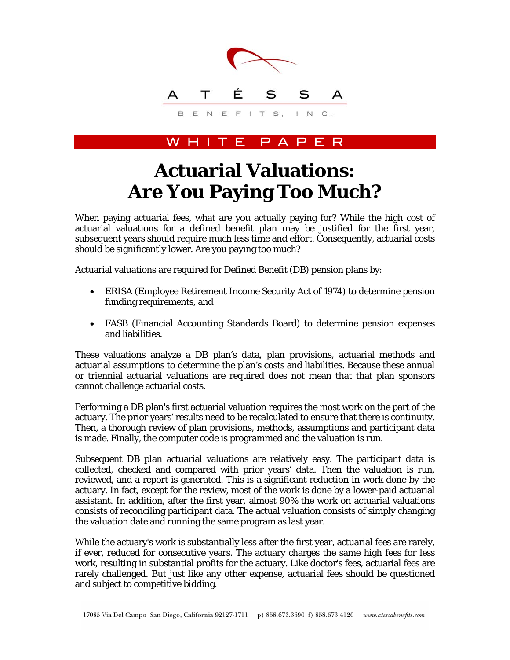

## H I T E P A P E

## **Actuarial Valuations: Are You Paying Too Much?**

When paying actuarial fees, what are you actually paying for? While the high cost of actuarial valuations for a defined benefit plan may be justified for the first year, subsequent years should require much less time and effort. Consequently, actuarial costs should be significantly lower. Are you paying too much?

Actuarial valuations are required for Defined Benefit (DB) pension plans by:

- ERISA (Employee Retirement Income Security Act of 1974) to determine pension funding requirements, and
- FASB (Financial Accounting Standards Board) to determine pension expenses and liabilities.

These valuations analyze a DB plan's data, plan provisions, actuarial methods and actuarial assumptions to determine the plan's costs and liabilities. Because these annual or triennial actuarial valuations are required does not mean that that plan sponsors cannot challenge actuarial costs.

Performing a DB plan's first actuarial valuation requires the most work on the part of the actuary. The prior years' results need to be recalculated to ensure that there is continuity. Then, a thorough review of plan provisions, methods, assumptions and participant data is made. Finally, the computer code is programmed and the valuation is run.

Subsequent DB plan actuarial valuations are relatively easy. The participant data is collected, checked and compared with prior years' data. Then the valuation is run, reviewed, and a report is generated. This is a significant reduction in work done by the actuary. In fact, except for the review, most of the work is done by a lower-paid actuarial assistant. In addition, after the first year, almost 90% the work on actuarial valuations consists of reconciling participant data. The actual valuation consists of simply changing the valuation date and running the same program as last year.

While the actuary's work is substantially less after the first year, actuarial fees are rarely, if ever, reduced for consecutive years. The actuary charges the same high fees for less work, resulting in substantial profits for the actuary. Like doctor's fees, actuarial fees are rarely challenged. But just like any other expense, actuarial fees should be questioned and subject to competitive bidding.